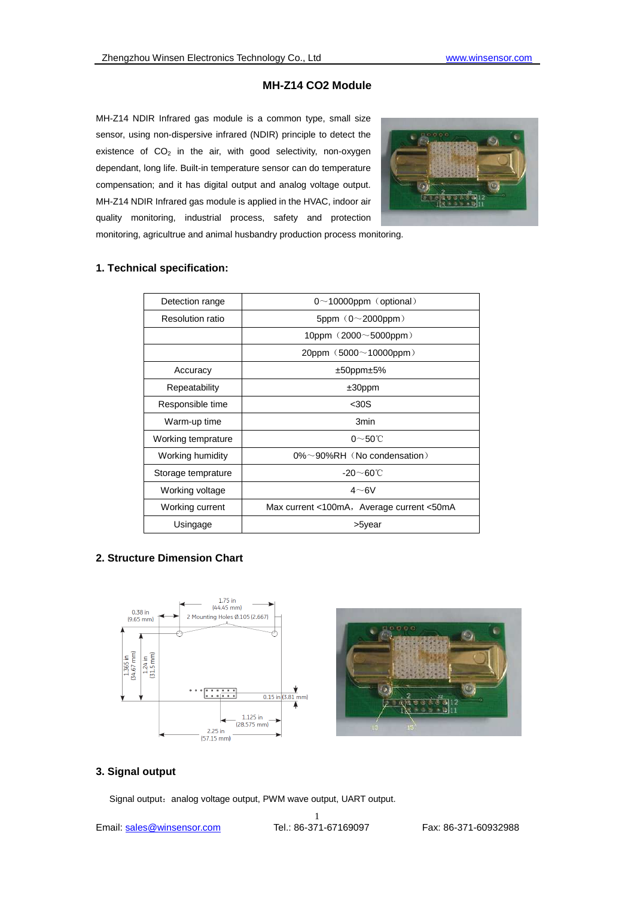## **MH-Z14 CO2 Module**

MH-Z14 NDIR Infrared gas module is a common type, small size sensor, using non-dispersive infrared (NDIR) principle to detect the existence of  $CO<sub>2</sub>$  in the air, with good selectivity, non-oxygen dependant, long life. Built-in temperature sensor can do temperature compensation; and it has digital output and analog voltage output. MH-Z14 NDIR Infrared gas module is applied in the HVAC, indoor air quality monitoring, industrial process, safety and protection monitoring, agricultrue and animal husbandry production process monitoring.



**1. Technical specification:** 

| Detection range    | $0 \sim 10000$ ppm (optional)             |  |  |
|--------------------|-------------------------------------------|--|--|
| Resolution ratio   | 5ppm $(0 \sim 2000$ ppm)                  |  |  |
|                    | 10ppm $(2000 \sim 5000$ ppm)              |  |  |
|                    | $20$ ppm $(5000~10000$ ppm $)$            |  |  |
| Accuracy           | $±50$ ppm $±5\%$                          |  |  |
| Repeatability      | $±30$ ppm                                 |  |  |
| Responsible time   | $30S$                                     |  |  |
| Warm-up time       | 3 <sub>min</sub>                          |  |  |
| Working temprature | $0 \sim 50$ °C                            |  |  |
| Working humidity   | $0\% \sim 90\% RH$ (No condensation)      |  |  |
| Storage temprature | $-20 \sim 60^{\circ}$ C                   |  |  |
| Working voltage    | $4\neg 6V$                                |  |  |
| Working current    | Max current <100mA, Average current <50mA |  |  |
| Usingage           | >5year                                    |  |  |

# **2. Structure Dimension Chart**



### **3. Signal output**

Signal output: analog voltage output, PWM wave output, UART output.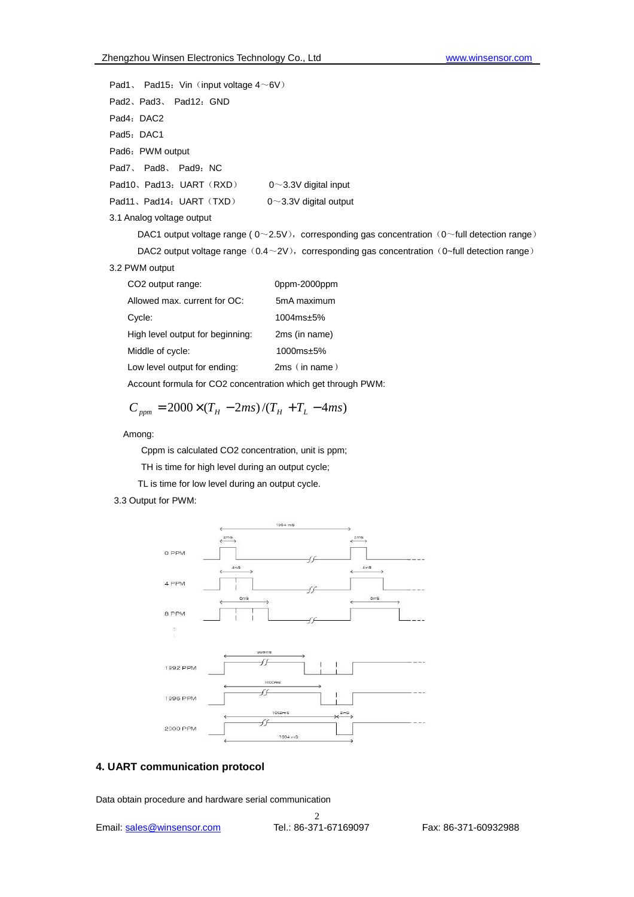```
Pad1, Pad15: Vin \langle input voltage 4\sim6V\ranglePad2、Pad3、Pad12: GND
Pad4: DAC2
Pad5: DAC1
Pad6: PWM output
Pad7、 Pad8、 Pad9: NC
Pad10、Pad13: UART(RXD) 0~3.3V digital input
Pad11、Pad14: UART (TXD) 0~3.3V digital output
3.1 Analog voltage output 
      DAC1 output voltage range ( 0 \sim 2.5V), corresponding gas concentration (0 \simfull detection range)
      DAC2 output voltage range (0.4 \sim 2V), corresponding gas concentration (0 \simfull detection range)
3.2 PWM output
```

| CO <sub>2</sub> output range:    | 0ppm-2000ppm   |  |  |
|----------------------------------|----------------|--|--|
| Allowed max. current for OC:     | 5mA maximum    |  |  |
| Cycle:                           | $1004ms + 5\%$ |  |  |
| High level output for beginning: | 2ms (in name)  |  |  |
| Middle of cycle:                 | $1000ms + 5\%$ |  |  |

Low level output for ending: 2ms (in name)

Account formula for CO2 concentration which get through PWM:

$$
C_{ppm} = 2000 \times (T_H - 2ms)/(T_H + T_L - 4ms)
$$

#### Among:

Cppm is calculated CO2 concentration, unit is ppm;

TH is time for high level during an output cycle;

TL is time for low level during an output cycle.

### 3.3 Output for PWM:



### **4. UART communication protocol**

Data obtain procedure and hardware serial communication